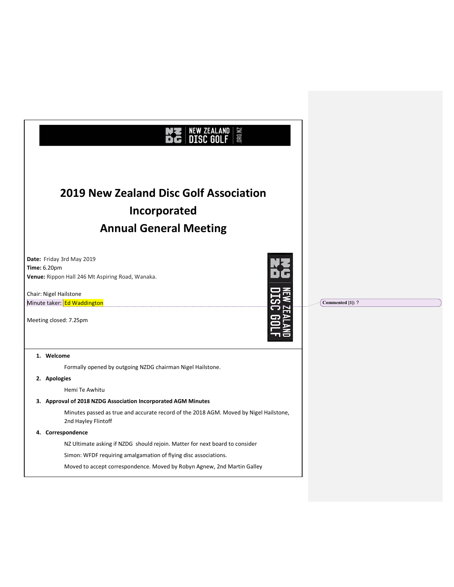| <b>ORG.NZ</b>                                                                                                                                                                           |                  |
|-----------------------------------------------------------------------------------------------------------------------------------------------------------------------------------------|------------------|
| <b>2019 New Zealand Disc Golf Association</b><br>Incorporated<br><b>Annual General Meeting</b>                                                                                          |                  |
| Date: Friday 3rd May 2019<br><b>Time: 6.20pm</b><br>Venue: Rippon Hall 246 Mt Aspiring Road, Wanaka.<br>Chair: Nigel Hailstone<br>Minute taker: Ed Waddington<br>Meeting closed: 7.25pm | Commented [1]: ? |
| 1. Welcome                                                                                                                                                                              |                  |
| Formally opened by outgoing NZDG chairman Nigel Hailstone.                                                                                                                              |                  |
| 2. Apologies<br>Hemi Te Awhitu                                                                                                                                                          |                  |
| 3. Approval of 2018 NZDG Association Incorporated AGM Minutes                                                                                                                           |                  |
| Minutes passed as true and accurate record of the 2018 AGM. Moved by Nigel Hailstone,<br>2nd Hayley Flintoff                                                                            |                  |
| 4. Correspondence                                                                                                                                                                       |                  |
| NZ Ultimate asking if NZDG should rejoin. Matter for next board to consider                                                                                                             |                  |
| Simon: WFDF requiring amalgamation of flying disc associations.                                                                                                                         |                  |
| Moved to accept correspondence. Moved by Robyn Agnew, 2nd Martin Galley                                                                                                                 |                  |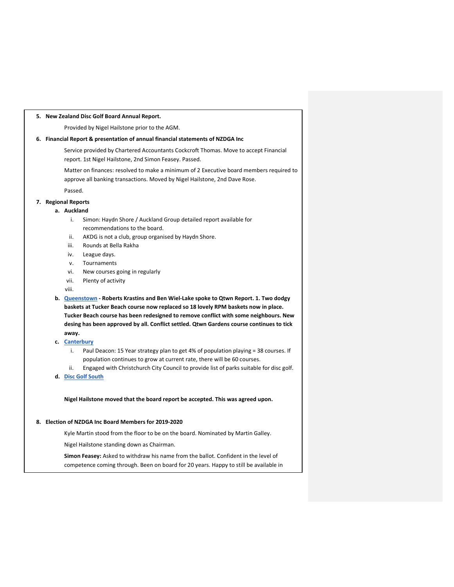### **5. New Zealand Disc Golf Board Annual Report.**

Provided by Nigel Hailstone prior to the AGM.

### **6. Financial Report & presentation of annual financial statements of NZDGA Inc**

Service provided by Chartered Accountants Cockcroft Thomas. Move to accept Financial report. 1st Nigel Hailstone, 2nd Simon Feasey. Passed.

Matter on finances: resolved to make a minimum of 2 Executive board members required to approve all banking transactions. Moved by Nigel Hailstone, 2nd Dave Rose.

Passed.

# **7. Regional Reports**

### **a. Auckland**

- i. Simon: Haydn Shore / Auckland Group detailed report available for recommendations to the board.
- ii. AKDG is not a club, group organised by Haydn Shore.
- iii. Rounds at Bella Rakha
- iv. League days.
- v. Tournaments
- vi. New courses going in regularly
- vii. Plenty of activity

viii.

- **b. Queenstown - Roberts Krastins and Ben Wiel-Lake spoke to Qtwn Report. 1. Two dodgy baskets at Tucker Beach course now replaced so 18 lovely RPM baskets now in place. Tucker Beach course has been redesigned to remove conflict with some neighbours. New desing has been approved by all. Conflict settled. Qtwn Gardens course continues to tick away.**
- **c. Canterbury**
	- i. Paul Deacon: 15 Year strategy plan to get 4% of population playing = 38 courses. If population continues to grow at current rate, there will be 60 courses.
	- ii. Engaged with Christchurch City Council to provide list of parks suitable for disc golf.
- **d. Disc Golf South**

**Nigel Hailstone moved that the board report be accepted. This was agreed upon.**

### **8. Election of NZDGA Inc Board Members for 2019-2020**

Kyle Martin stood from the floor to be on the board. Nominated by Martin Galley.

Nigel Hailstone standing down as Chairman.

**Simon Feasey:** Asked to withdraw his name from the ballot. Confident in the level of competence coming through. Been on board for 20 years. Happy to still be available in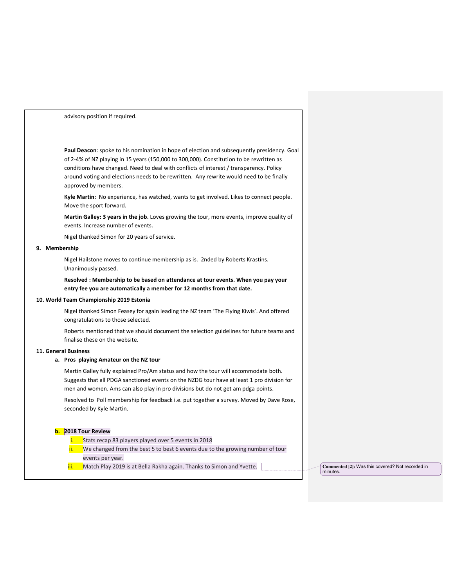advisory position if required.

**Paul Deacon**: spoke to his nomination in hope of election and subsequently presidency. Goal of 2-4% of NZ playing in 15 years (150,000 to 300,000). Constitution to be rewritten as conditions have changed. Need to deal with conflicts of interest / transparency. Policy around voting and elections needs to be rewritten. Any rewrite would need to be finally approved by members.

**Kyle Martin:** No experience, has watched, wants to get involved. Likes to connect people. Move the sport forward.

**Martin Galley: 3 years in the job.** Loves growing the tour, more events, improve quality of events. Increase number of events.

Nigel thanked Simon for 20 years of service.

#### **9. Membership**

Nigel Hailstone moves to continue membership as is. 2nded by Roberts Krastins. Unanimously passed.

**Resolved : Membership to be based on attendance at tour events. When you pay your entry fee you are automatically a member for 12 months from that date.** 

#### **10. World Team Championship 2019 Estonia**

Nigel thanked Simon Feasey for again leading the NZ team 'The Flying Kiwis'. And offered congratulations to those selected.

Roberts mentioned that we should document the selection guidelines for future teams and finalise these on the website.

### **11. General Business**

### **a. Pros playing Amateur on the NZ tour**

Martin Galley fully explained Pro/Am status and how the tour will accommodate both. Suggests that all PDGA sanctioned events on the NZDG tour have at least 1 pro division for men and women. Ams can also play in pro divisions but do not get am pdga points.

Resolved to Poll membership for feedback i.e. put together a survey. Moved by Dave Rose, seconded by Kyle Martin.

### **b. 2018 Tour Review**

- Stats recap 83 players played over 5 events in 2018
- $\frac{1}{1}$  We changed from the best 5 to best 6 events due to the growing number of tour events per year.
- iii. Match Play 2019 is at Bella Rakha again. Thanks to Simon and Yvette. **Commented [2]: Was this covered?** Not recorded in

minutes.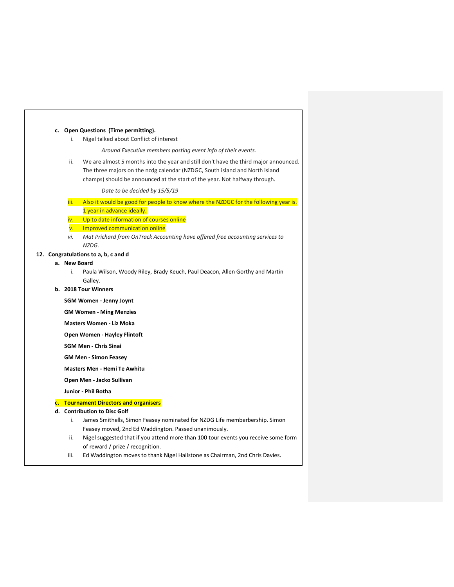### **c. Open Questions (Time permitting).**

i. Nigel talked about Conflict of interest

*Around Executive members posting event info of their events.* 

ii. We are almost 5 months into the year and still don't have the third major announced. The three majors on the nzdg calendar (NZDGC, South island and North island champs) should be announced at the start of the year. Not halfway through.

*Date to be decided by 15/5/19*

- iii. Also it would be good for people to know where the NZDGC for the following year is. 1 year in advance ideally.
- iv. Up to date information of courses online
- v. Improved communication online
- *vi. Mat Prichard from OnTrack Accounting have offered free accounting services to NZDG.*

### **12. Congratulations to a, b, c and d**

- **a. New Board**
	- i. Paula Wilson, Woody Riley, Brady Keuch, Paul Deacon, Allen Gorthy and Martin Galley.
- **b. 2018 Tour Winners**

**SGM Women - Jenny Joynt**

- **GM Women - Ming Menzies**
- **Masters Women - Liz Moka**

**Open Women - Hayley Flintoft**

**SGM Men - Chris Sinai**

**GM Men - Simon Feasey**

**Masters Men - Hemi Te Awhitu**

**Open Men - Jacko Sullivan**

**Junior - Phil Botha**

## **c. Tournament Directors and organisers**

- **d. Contribution to Disc Golf** 
	- i. James Smithells, Simon Feasey nominated for NZDG Life memberbership. Simon Feasey moved, 2nd Ed Waddington. Passed unanimously.
	- ii. Nigel suggested that if you attend more than 100 tour events you receive some form of reward / prize / recognition.
	- iii. Ed Waddington moves to thank Nigel Hailstone as Chairman, 2nd Chris Davies.